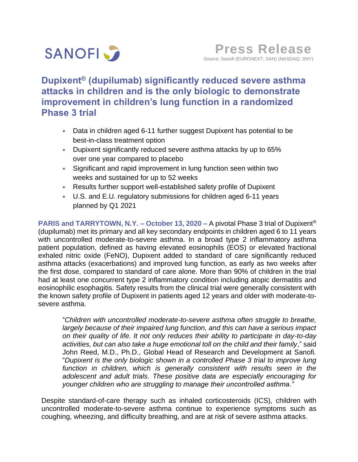

**Dupixent® (dupilumab) significantly reduced severe asthma attacks in children and is the only biologic to demonstrate improvement in children's lung function in a randomized Phase 3 trial** 

- Data in children aged 6-11 further suggest Dupixent has potential to be best-in-class treatment option
- Dupixent significantly reduced severe asthma attacks by up to 65% over one year compared to placebo
- Significant and rapid improvement in lung function seen within two weeks and sustained for up to 52 weeks
- Results further support well-established safety profile of Dupixent
- U.S. and E.U. regulatory submissions for children aged 6-11 years planned by Q1 2021

**PARIS and TARRYTOWN, N.Y. – October 13, 2020 –** A pivotal Phase 3 trial of Dupixent® (dupilumab) met its primary and all key secondary endpoints in children aged 6 to 11 years with uncontrolled moderate-to-severe asthma. In a broad type 2 inflammatory asthma patient population, defined as having elevated eosinophils (EOS) or elevated fractional exhaled nitric oxide (FeNO), Dupixent added to standard of care significantly reduced asthma attacks (exacerbations) and improved lung function, as early as two weeks after the first dose, compared to standard of care alone. More than 90% of children in the trial had at least one concurrent type 2 inflammatory condition including atopic dermatitis and eosinophilic esophagitis. Safety results from the clinical trial were generally consistent with the known safety profile of Dupixent in patients aged 12 years and older with moderate-tosevere asthma.

"*Children with uncontrolled moderate-to-severe asthma often struggle to breathe, largely because of their impaired lung function, and this can have a serious impact on their quality of life. It not only reduces their ability to participate in day-to-day activities, but can also take a huge emotional toll on the child and their family*," said John Reed, M.D., Ph.D., Global Head of Research and Development at Sanofi. "*Dupixent is the only biologic shown in a controlled Phase 3 trial to improve lung function in children, which is generally consistent with results seen in the adolescent and adult trials. These positive data are especially encouraging for younger children who are struggling to manage their uncontrolled asthma."*

Despite standard-of-care therapy such as inhaled corticosteroids (ICS), children with uncontrolled moderate-to-severe asthma continue to experience symptoms such as coughing, wheezing, and difficulty breathing, and are at risk of severe asthma attacks.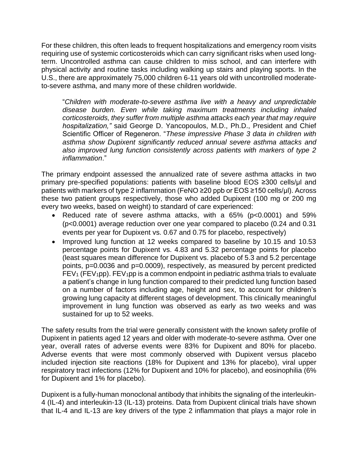For these children, this often leads to frequent hospitalizations and emergency room visits requiring use of systemic corticosteroids which can carry significant risks when used longterm. Uncontrolled asthma can cause children to miss school, and can interfere with physical activity and routine tasks including walking up stairs and playing sports. In the U.S., there are approximately 75,000 children 6-11 years old with uncontrolled moderateto-severe asthma, and many more of these children worldwide.

"*Children with moderate-to-severe asthma live with a heavy and unpredictable disease burden. Even while taking maximum treatments including inhaled corticosteroids, they suffer from multiple asthma attacks each year that may require hospitalization,"* said George D. Yancopoulos, M.D., Ph.D., President and Chief Scientific Officer of Regeneron. "*These impressive Phase 3 data in children with asthma show Dupixent significantly reduced annual severe asthma attacks and also improved lung function consistently across patients with markers of type 2 inflammation*."

The primary endpoint assessed the annualized rate of severe asthma attacks in two primary pre-specified populations: patients with baseline blood EOS ≥300 cells/μl and patients with markers of type 2 inflammation (FeNO ≥20 ppb or EOS ≥150 cells/μl). Across these two patient groups respectively, those who added Dupixent (100 mg or 200 mg every two weeks, based on weight) to standard of care experienced:

- Reduced rate of severe asthma attacks, with a 65% (p<0.0001) and 59% (p<0.0001) average reduction over one year compared to placebo (0.24 and 0.31 events per year for Dupixent vs. 0.67 and 0.75 for placebo, respectively)
- Improved lung function at 12 weeks compared to baseline by 10.15 and 10.53 percentage points for Dupixent vs. 4.83 and 5.32 percentage points for placebo (least squares mean difference for Dupixent vs. placebo of 5.3 and 5.2 percentage points, p=0.0036 and p=0.0009), respectively, as measured by percent predicted  $FEV<sub>1</sub> (FEV<sub>1</sub>pp)$ .  $FEV<sub>1</sub>pp$  is a common endpoint in pediatric asthma trials to evaluate a patient's change in lung function compared to their predicted lung function based on a number of factors including age, height and sex, to account for children's growing lung capacity at different stages of development. This clinically meaningful improvement in lung function was observed as early as two weeks and was sustained for up to 52 weeks.

The safety results from the trial were generally consistent with the known safety profile of Dupixent in patients aged 12 years and older with moderate-to-severe asthma. Over one year, overall rates of adverse events were 83% for Dupixent and 80% for placebo. Adverse events that were most commonly observed with Dupixent versus placebo included injection site reactions (18% for Dupixent and 13% for placebo), viral upper respiratory tract infections (12% for Dupixent and 10% for placebo), and eosinophilia (6% for Dupixent and 1% for placebo).

Dupixent is a fully-human monoclonal antibody that inhibits the signaling of the interleukin-4 (IL-4) and interleukin-13 (IL-13) proteins. Data from Dupixent clinical trials have shown that IL-4 and IL-13 are key drivers of the type 2 inflammation that plays a major role in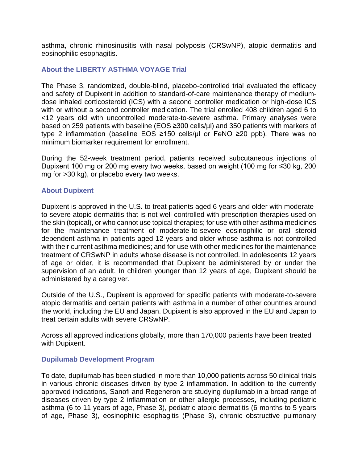asthma, chronic rhinosinusitis with nasal polyposis (CRSwNP), atopic dermatitis and eosinophilic esophagitis.

# **About the LIBERTY ASTHMA VOYAGE Trial**

The Phase 3, randomized, double-blind, placebo-controlled trial evaluated the efficacy and safety of Dupixent in addition to standard-of-care maintenance therapy of mediumdose inhaled corticosteroid (ICS) with a second controller medication or high-dose ICS with or without a second controller medication. The trial enrolled 408 children aged 6 to <12 years old with uncontrolled moderate-to-severe asthma. Primary analyses were based on 259 patients with baseline (EOS ≥300 cells/µl) and 350 patients with markers of type 2 inflammation (baseline EOS ≥150 cells/μl or FeNO ≥20 ppb). There was no minimum biomarker requirement for enrollment.

During the 52-week treatment period, patients received subcutaneous injections of Dupixent 100 mg or 200 mg every two weeks, based on weight (100 mg for ≤30 kg, 200 mg for >30 kg), or placebo every two weeks.

## **About Dupixent**

Dupixent is approved in the U.S. to treat patients aged 6 years and older with moderateto-severe atopic dermatitis that is not well controlled with prescription therapies used on the skin (topical), or who cannot use topical therapies; for use with other asthma medicines for the maintenance treatment of moderate-to-severe eosinophilic or oral steroid dependent asthma in patients aged 12 years and older whose asthma is not controlled with their current asthma medicines; and for use with other medicines for the maintenance treatment of CRSwNP in adults whose disease is not controlled. In adolescents 12 years of age or older, it is recommended that Dupixent be administered by or under the supervision of an adult. In children younger than 12 years of age, Dupixent should be administered by a caregiver.

Outside of the U.S., Dupixent is approved for specific patients with moderate-to-severe atopic dermatitis and certain patients with asthma in a number of other countries around the world, including the EU and Japan. Dupixent is also approved in the EU and Japan to treat certain adults with severe CRSwNP.

Across all approved indications globally, more than 170,000 patients have been treated with Dupixent.

## **Dupilumab Development Program**

To date, dupilumab has been studied in more than 10,000 patients across 50 clinical trials in various chronic diseases driven by type 2 inflammation. In addition to the currently approved indications, Sanofi and Regeneron are studying dupilumab in a broad range of diseases driven by type 2 inflammation or other allergic processes, including pediatric asthma (6 to 11 years of age, Phase 3), pediatric atopic dermatitis (6 months to 5 years of age, Phase 3), eosinophilic esophagitis (Phase 3), chronic obstructive pulmonary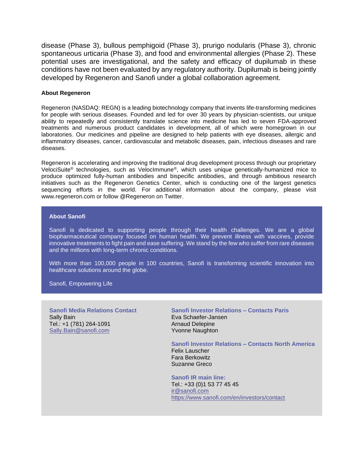disease (Phase 3), bullous pemphigoid (Phase 3), prurigo nodularis (Phase 3), chronic spontaneous urticaria (Phase 3), and food and environmental allergies (Phase 2). These potential uses are investigational, and the safety and efficacy of dupilumab in these conditions have not been evaluated by any regulatory authority. Dupilumab is being jointly developed by Regeneron and Sanofi under a global collaboration agreement.

### **About Regeneron**

Regeneron (NASDAQ: REGN) is a leading biotechnology company that invents life-transforming medicines for people with serious diseases. Founded and led for over 30 years by physician-scientists, our unique ability to repeatedly and consistently translate science into medicine has led to seven FDA-approved treatments and numerous product candidates in development, all of which were homegrown in our laboratories. Our medicines and pipeline are designed to help patients with eye diseases, allergic and inflammatory diseases, cancer, cardiovascular and metabolic diseases, pain, infectious diseases and rare diseases.

Regeneron is accelerating and improving the traditional drug development process through our proprietary VelociSuite® technologies, such as VelocImmune®, which uses unique genetically-humanized mice to produce optimized fully-human antibodies and bispecific antibodies, and through ambitious research initiatives such as the Regeneron Genetics Center, which is conducting one of the largest genetics sequencing efforts in the world. For additional information about the company, please visit www.regeneron.com or follow @Regeneron on Twitter.

### **About Sanofi**

Sanofi is dedicated to supporting people through their health challenges. We are a global biopharmaceutical company focused on human health. We prevent illness with vaccines, provide innovative treatments to fight pain and ease suffering. We stand by the few who suffer from rare diseases and the millions with long-term chronic conditions.

With more than 100,000 people in 100 countries, Sanofi is transforming scientific innovation into healthcare solutions around the globe.

Sanofi, Empowering Life

**Sanofi Media Relations Contact**  Sally Bain Tel.: +1 (781) 264-1091 [Sally.Bain@sanofi.com](mailto:Sally.Bain@sanofi.com)

**Sanofi Investor Relations – Contacts Paris** Eva Schaefer-Jansen Arnaud Delepine Yvonne Naughton

**Sanofi Investor Relations – Contacts North America** Felix Lauscher

Fara Berkowitz Suzanne Greco

**Sanofi IR main line:** Tel.: +33 (0)1 53 77 45 45 [ir@sanofi.com](mailto:ir@sanofi.com) <https://www.sanofi.com/en/investors/contact>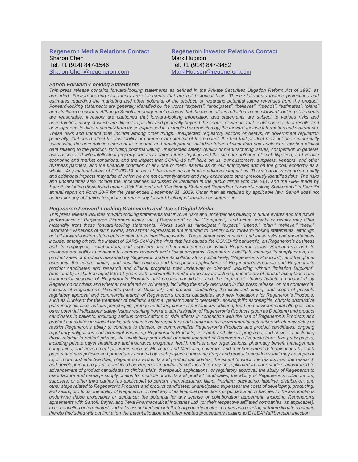#### **Regeneron Media Relations Contact**  Sharon Chen Tel: +1 (914) 847-1546 [Sharon.Chen@regeneron.com](mailto:Hannah.Kwagh@regeneron.com)

#### **Regeneron Investor Relations Contact**  Mark Hudson Tel: +1 (914) 847-3482 [Mark.Hudson@regeneron.com](mailto:Mark.Hudson@regeneron.com)

#### *Sanofi Forward-Looking Statements*

*This press release contains forward-looking statements as defined in the Private Securities Litigation Reform Act of 1995, as amended. Forward-looking statements are statements that are not historical facts. These statements include projections and estimates regarding the marketing and other potential of the product, or regarding potential future revenues from the product. Forward-looking statements are generally identified by the words "expects", "anticipates", "believes", "intends", "estimates", "plans" and similar expressions. Although Sanofi's management believes that the expectations reflected in such forward-looking statements are reasonable, investors are cautioned that forward-looking information and statements are subject to various risks and uncertainties, many of which are difficult to predict and generally beyond the control of Sanofi, that could cause actual results and developments to differ materially from those expressed in, or implied or projected by, the forward-looking information and statements. These risks and uncertainties include among other things, unexpected regulatory actions or delays, or government regulation generally, that could affect the availability or commercial potential of the product, the fact that product may not be commercially successful, the uncertainties inherent in research and development, including future clinical data and analysis of existing clinical data relating to the product, including post marketing, unexpected safety, quality or manufacturing issues, competition in general,*  risks associated with intellectual property and any related future litigation and the ultimate outcome of such litigation, and volatile *economic and market conditions, and the impact that COVID-19 will have on us, our customers, suppliers, vendors, and other business partners, and the financial condition of any one of them, as well as on our employees and on the global economy as a whole. Any material effect of COVID-19 on any of the foregoing could also adversely impact us. This situation is changing rapidly and additional impacts may arise of which we are not currently aware and may exacerbate other previously identified risks. The risks and uncertainties also include the uncertainties discussed or identified in the public filings with the SEC and the AMF made by Sanofi, including those listed under "Risk Factors" and "Cautionary Statement Regarding Forward-Looking Statements" in Sanofi's annual report on Form 20-F for the year ended December 31, 2019. Other than as required by applicable law, Sanofi does not undertake any obligation to update or revise any forward-looking information or statements.*

#### *Regeneron Forward-Looking Statements and Use of Digital Media*

*This press release includes forward-looking statements that involve risks and uncertainties relating to future events and the future performance of Regeneron Pharmaceuticals, Inc. ("Regeneron" or the "Company"), and actual events or results may differ materially from these forward-looking statements. Words such as "anticipate," "expect," "intend," "plan," "believe," "seek," "estimate," variations of such words, and similar expressions are intended to identify such forward-looking statements, although not all forward-looking statements contain these identifying words. These statements concern, and these risks and uncertainties include, among others, the impact of SARS-CoV-2 (the virus that has caused the COVID-19 pandemic) on Regeneron's business and its employees, collaborators, and suppliers and other third parties on which Regeneron relies, Regeneron's and its collaborators' ability to continue to conduct research and clinical programs, Regeneron's ability to manage its supply chain, net product sales of products marketed by Regeneron and/or its collaborators (collectively, "Regeneron's Products"), and the global economy; the nature, timing, and possible success and therapeutic applications of Regeneron's Products and Regeneron's product candidates and research and clinical programs now underway or planned, including without limitation Dupixent® (dupilumab) in children aged 6 to 11 years with uncontrolled moderate-to-severe asthma; uncertainty of market acceptance and commercial success of Regeneron's Products and product candidates and the impact of studies (whether conducted by Regeneron or others and whether mandated or voluntary), including the study discussed in this press release, on the commercial success of Regeneron's Products (such as Dupixent) and product candidates; the likelihood, timing, and scope of possible regulatory approval and commercial launch of Regeneron's product candidates and new indications for Regeneron's Products, such as Dupixent for the treatment of pediatric asthma, pediatric atopic dermatitis, eosinophilic esophagitis, chronic obstructive pulmonary disease, bullous pemphigoid, prurigo nodularis, chronic spontaneous urticaria, food and environmental allergies, and other potential indications; safety issues resulting from the administration of Regeneron's Products (such as Dupixent) and product candidates in patients, including serious complications or side effects in connection with the use of Regeneron's Products and product candidates in clinical trials; determinations by regulatory and administrative governmental authorities which may delay or restrict Regeneron's ability to continue to develop or commercialize Regeneron's Products and product candidates; ongoing regulatory obligations and oversight impacting Regeneron's Products, research and clinical programs, and business, including those relating to patient privacy; the availability and extent of reimbursement of Regeneron's Products from third-party payers, including private payer healthcare and insurance programs, health maintenance organizations, pharmacy benefit management companies, and government programs such as Medicare and Medicaid; coverage and reimbursement determinations by such payers and new policies and procedures adopted by such payers; competing drugs and product candidates that may be superior to, or more cost effective than, Regeneron's Products and product candidates; the extent to which the results from the research and development programs conducted by Regeneron and/or its collaborators may be replicated in other studies and/or lead to advancement of product candidates to clinical trials, therapeutic applications, or regulatory approval; the ability of Regeneron to manufacture and manage supply chains for multiple products and product candidates; the ability of Regeneron's collaborators, suppliers, or other third parties (as applicable) to perform manufacturing, filling, finishing, packaging, labeling, distribution, and other steps related to Regeneron's Products and product candidates; unanticipated expenses; the costs of developing, producing, and selling products; the ability of Regeneron to meet any of its financial projections or guidance and changes to the assumptions underlying those projections or guidance; the potential for any license or collaboration agreement, including Regeneron's agreements with Sanofi, Bayer, and Teva Pharmaceutical Industries Ltd. (or their respective affiliated companies, as applicable),*  to be cancelled or terminated; and risks associated with intellectual property of other parties and pending or future litigation relating *thereto (including without limitation the patent litigation and other related proceedings relating to EYLEA® (aflibercept) Injection,*